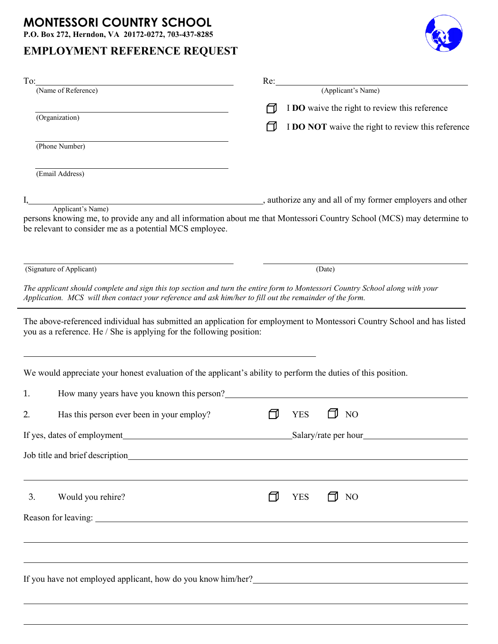## **MONTESSORI COUNTRY SCHOOL**

**P.O. Box 272, Herndon, VA 20172-0272, 703-437-8285**

## **EMPLOYMENT REFERENCE REQUEST**



| To: (Name of Reference)                                                                                                                                                                                                                      |    |            | Re: (Applicant's Name)                            |  |
|----------------------------------------------------------------------------------------------------------------------------------------------------------------------------------------------------------------------------------------------|----|------------|---------------------------------------------------|--|
|                                                                                                                                                                                                                                              | ΠJ |            | I DO waive the right to review this reference     |  |
| (Organization)                                                                                                                                                                                                                               | M  |            | I DO NOT waive the right to review this reference |  |
| (Phone Number)                                                                                                                                                                                                                               |    |            |                                                   |  |
|                                                                                                                                                                                                                                              |    |            |                                                   |  |
| (Email Address)                                                                                                                                                                                                                              |    |            |                                                   |  |
|                                                                                                                                                                                                                                              |    |            |                                                   |  |
| I, Applicant's Name)<br>Applicant's Name)<br>Applicant's Name)                                                                                                                                                                               |    |            |                                                   |  |
| persons knowing me, to provide any and all information about me that Montessori Country School (MCS) may determine to                                                                                                                        |    |            |                                                   |  |
| be relevant to consider me as a potential MCS employee.                                                                                                                                                                                      |    |            |                                                   |  |
|                                                                                                                                                                                                                                              |    |            |                                                   |  |
| (Signature of Applicant)                                                                                                                                                                                                                     |    |            | (Date)                                            |  |
| The applicant should complete and sign this top section and turn the entire form to Montessori Country School along with your                                                                                                                |    |            |                                                   |  |
| Application. MCS will then contact your reference and ask him/her to fill out the remainder of the form.                                                                                                                                     |    |            |                                                   |  |
| The above-referenced individual has submitted an application for employment to Montessori Country School and has listed                                                                                                                      |    |            |                                                   |  |
| you as a reference. He / She is applying for the following position:                                                                                                                                                                         |    |            |                                                   |  |
|                                                                                                                                                                                                                                              |    |            |                                                   |  |
|                                                                                                                                                                                                                                              |    |            |                                                   |  |
| We would appreciate your honest evaluation of the applicant's ability to perform the duties of this position.                                                                                                                                |    |            |                                                   |  |
| How many years have you known this person?<br><u>Letter and the contract of the set of the set of the set of the set of the set of the set of the set of the set of the set of the set of the set of the set of the set of the set</u><br>1. |    |            |                                                   |  |
| Has this person ever been in your employ?<br>2.                                                                                                                                                                                              | ┌1 | <b>YES</b> | <b>NO</b>                                         |  |
|                                                                                                                                                                                                                                              |    |            |                                                   |  |
|                                                                                                                                                                                                                                              |    |            |                                                   |  |
|                                                                                                                                                                                                                                              |    |            |                                                   |  |
|                                                                                                                                                                                                                                              |    |            |                                                   |  |
| Would you rehire?<br>3.                                                                                                                                                                                                                      | ┌┓ | <b>YES</b> | $\Box$ NO                                         |  |
|                                                                                                                                                                                                                                              |    |            |                                                   |  |
|                                                                                                                                                                                                                                              |    |            |                                                   |  |
|                                                                                                                                                                                                                                              |    |            |                                                   |  |
|                                                                                                                                                                                                                                              |    |            |                                                   |  |
|                                                                                                                                                                                                                                              |    |            |                                                   |  |
|                                                                                                                                                                                                                                              |    |            |                                                   |  |
|                                                                                                                                                                                                                                              |    |            |                                                   |  |